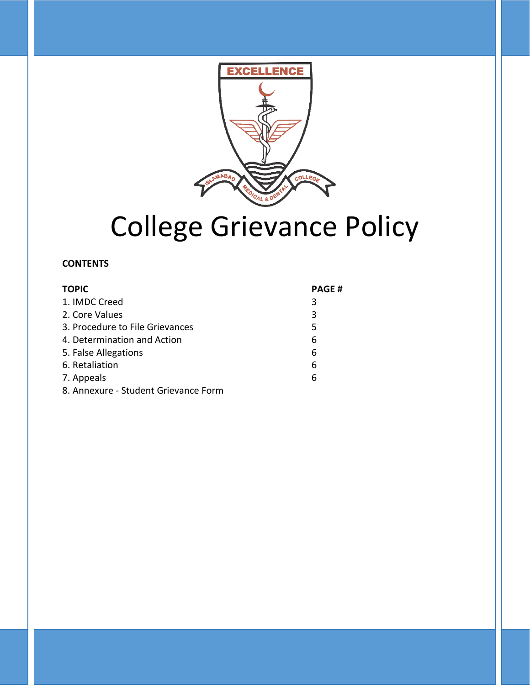

# College Grievance Policy

#### **CONTENTS**

| <b>TOPIC</b>                         | <b>PAGE#</b> |
|--------------------------------------|--------------|
| 1. IMDC Creed                        | 3            |
| 2. Core Values                       | 3            |
| 3. Procedure to File Grievances      | 5            |
| 4. Determination and Action          | 6            |
| 5. False Allegations                 | 6            |
| 6. Retaliation                       | 6            |
| 7. Appeals                           | 6            |
| 8. Annexure - Student Grievance Form |              |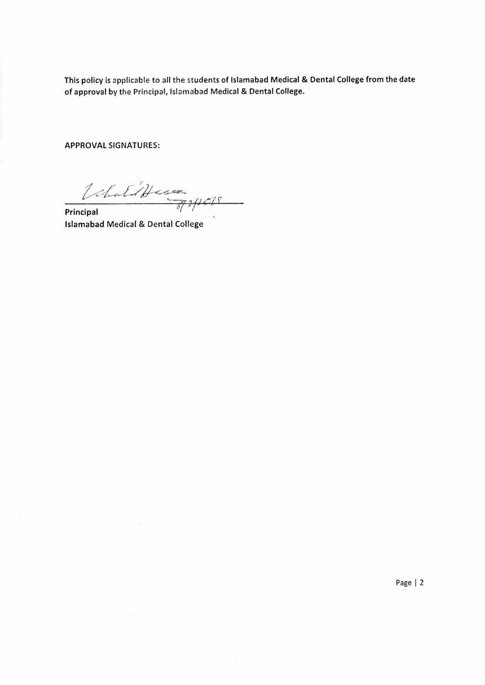This policy is applicable to all the students of Islamabad Medical & Dental College from the date of approval by the Principal, Islamabad Medical & Dental College.

**APPROVAL SIGNATURES:** 

VehaldHummer

Principal **Islamabad Medical & Dental College** 

Page | 2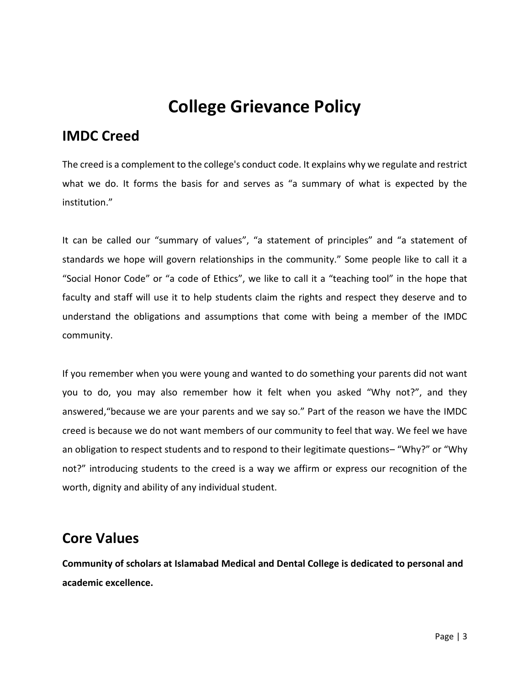## **College Grievance Policy**

## **IMDC Creed**

The creed is a complement to the college's conduct code. It explains why we regulate and restrict what we do. It forms the basis for and serves as "a summary of what is expected by the institution."

It can be called our "summary of values", "a statement of principles" and "a statement of standards we hope will govern relationships in the community." Some people like to call it a "Social Honor Code" or "a code of Ethics", we like to call it a "teaching tool" in the hope that faculty and staff will use it to help students claim the rights and respect they deserve and to understand the obligations and assumptions that come with being a member of the IMDC community.

If you remember when you were young and wanted to do something your parents did not want you to do, you may also remember how it felt when you asked "Why not?", and they answered,"because we are your parents and we say so." Part of the reason we have the IMDC creed is because we do not want members of our community to feel that way. We feel we have an obligation to respect students and to respond to their legitimate questions– "Why?" or "Why not?" introducing students to the creed is a way we affirm or express our recognition of the worth, dignity and ability of any individual student.

## **Core Values**

**Community of scholars at Islamabad Medical and Dental College is dedicated to personal and academic excellence.**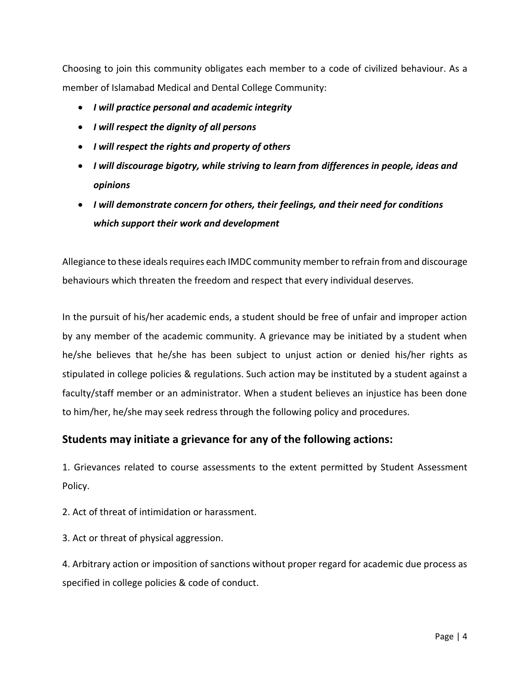Choosing to join this community obligates each member to a code of civilized behaviour. As a member of Islamabad Medical and Dental College Community:

- *I will practice personal and academic integrity*
- *I will respect the dignity of all persons*
- *I will respect the rights and property of others*
- *I will discourage bigotry, while striving to learn from differences in people, ideas and opinions*
- *I will demonstrate concern for others, their feelings, and their need for conditions which support their work and development*

Allegiance to these ideals requires each IMDC community member to refrain from and discourage behaviours which threaten the freedom and respect that every individual deserves.

In the pursuit of his/her academic ends, a student should be free of unfair and improper action by any member of the academic community. A grievance may be initiated by a student when he/she believes that he/she has been subject to unjust action or denied his/her rights as stipulated in college policies & regulations. Such action may be instituted by a student against a faculty/staff member or an administrator. When a student believes an injustice has been done to him/her, he/she may seek redress through the following policy and procedures.

#### **Students may initiate a grievance for any of the following actions:**

1. Grievances related to course assessments to the extent permitted by Student Assessment Policy.

2. Act of threat of intimidation or harassment.

3. Act or threat of physical aggression.

4. Arbitrary action or imposition of sanctions without proper regard for academic due process as specified in college policies & code of conduct.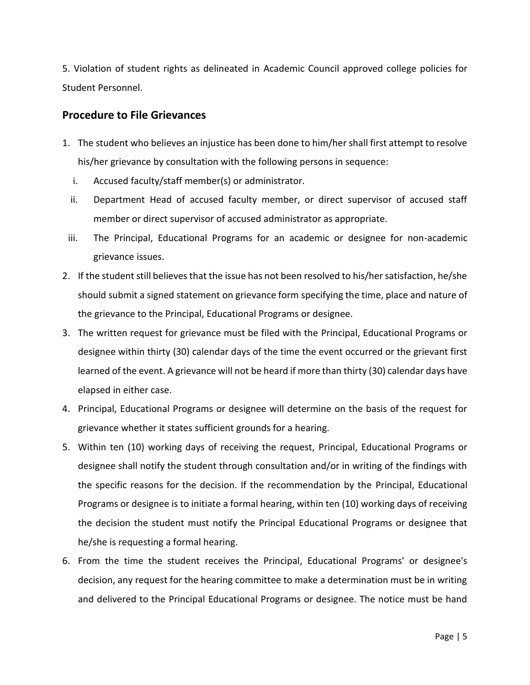5. Violation of student rights as delineated in Academic Council approved college policies for Student Personnel.

#### **Procedure to File Grievances**

- 1. The student who believes an injustice has been done to him/her shall first attempt to resolve his/her grievance by consultation with the following persons in sequence:
	- i. Accused faculty/staff member(s) or administrator.
	- ii. Department Head of accused faculty member, or direct supervisor of accused staff member or direct supervisor of accused administrator as appropriate.
- iii. The Principal, Educational Programs for an academic or designee for non-academic grievance issues.
- 2. If the student still believes that the issue has not been resolved to his/her satisfaction, he/she should submit a signed statement on grievance form specifying the time, place and nature of the grievance to the Principal, Educational Programs or designee.
- 3. The written request for grievance must be filed with the Principal, Educational Programs or designee within thirty (30) calendar days of the time the event occurred or the grievant first learned of the event. A grievance will not be heard if more than thirty (30) calendar days have elapsed in either case.
- 4. Principal, Educational Programs or designee will determine on the basis of the request for grievance whether it states sufficient grounds for a hearing.
- 5. Within ten (10) working days of receiving the request, Principal, Educational Programs or designee shall notify the student through consultation and/or in writing of the findings with the specific reasons for the decision. If the recommendation by the Principal, Educational Programs or designee is to initiate a formal hearing, within ten (10) working days of receiving the decision the student must notify the Principal Educational Programs or designee that he/she is requesting a formal hearing.
- 6. From the time the student receives the Principal, Educational Programs' or designee's decision, any request for the hearing committee to make a determination must be in writing and delivered to the Principal Educational Programs or designee. The notice must be hand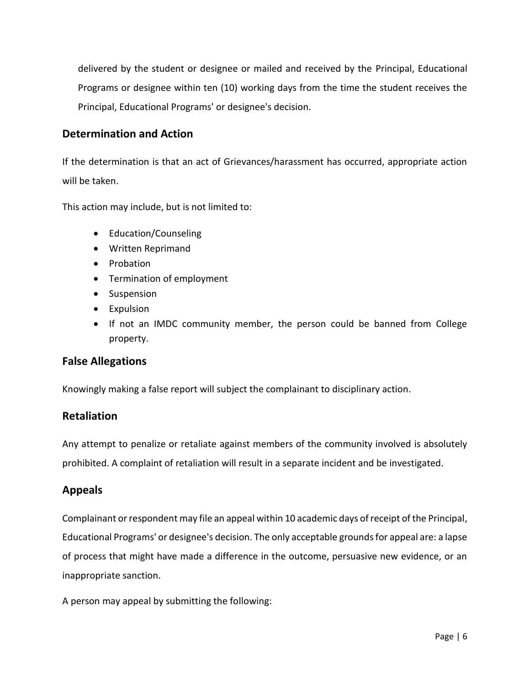delivered by the student or designee or mailed and received by the Principal, Educational Programs or designee within ten (10) working days from the time the student receives the Principal, Educational Programs' or designee's decision.

#### **Determination and Action**

If the determination is that an act of Grievances/harassment has occurred, appropriate action will be taken.

This action may include, but is not limited to:

- Education/Counseling
- Written Reprimand
- Probation
- Termination of employment
- Suspension
- Expulsion
- If not an IMDC community member, the person could be banned from College property.

#### **False Allegations**

Knowingly making a false report will subject the complainant to disciplinary action.

#### **Retaliation**

Any attempt to penalize or retaliate against members of the community involved is absolutely prohibited. A complaint of retaliation will result in a separate incident and be investigated.

#### **Appeals**

Complainant or respondent may file an appeal within 10 academic days of receipt of the Principal, Educational Programs' or designee's decision. The only acceptable grounds for appeal are: a lapse of process that might have made a difference in the outcome, persuasive new evidence, or an inappropriate sanction.

A person may appeal by submitting the following: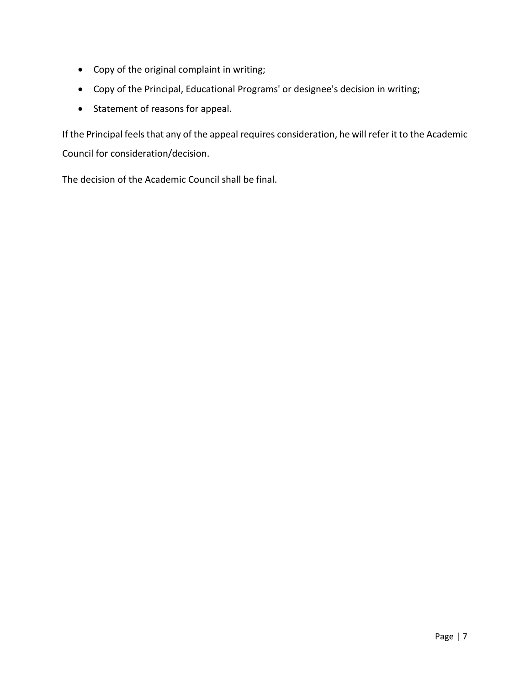- Copy of the original complaint in writing;
- Copy of the Principal, Educational Programs' or designee's decision in writing;
- Statement of reasons for appeal.

If the Principal feels that any of the appeal requires consideration, he will refer it to the Academic Council for consideration/decision.

The decision of the Academic Council shall be final.